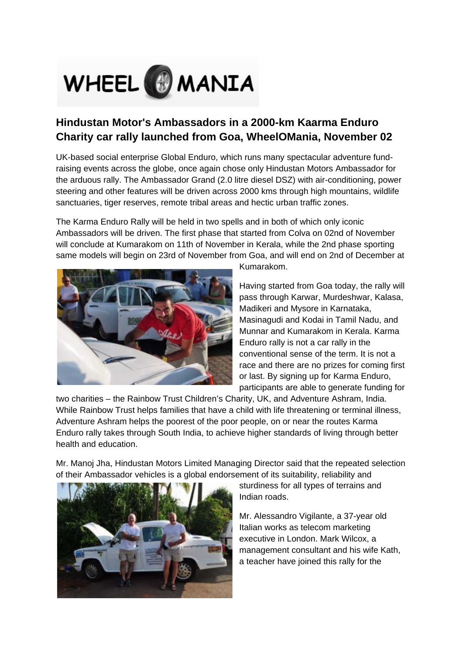

## **Hindustan Motor's Ambassadors in a 2000-km Kaarma Enduro Charity car rally launched from Goa, WheelOMania, November 02**

UK-based social enterprise Global Enduro, which runs many spectacular adventure fundraising events across the globe, once again chose only Hindustan Motors Ambassador for the arduous rally. The Ambassador Grand (2.0 litre diesel DSZ) with air-conditioning, power steering and other features will be driven across 2000 kms through high mountains, wildlife sanctuaries, tiger reserves, remote tribal areas and hectic urban traffic zones.

The Karma Enduro Rally will be held in two spells and in both of which only iconic Ambassadors will be driven. The first phase that started from Colva on 02nd of November will conclude at Kumarakom on 11th of November in Kerala, while the 2nd phase sporting same models will begin on 23rd of November from Goa, and will end on 2nd of December at



Kumarakom.

Having started from Goa today, the rally will pass through Karwar, Murdeshwar, Kalasa, Madikeri and Mysore in Karnataka, Masinagudi and Kodai in Tamil Nadu, and Munnar and Kumarakom in Kerala. Karma Enduro rally is not a car rally in the conventional sense of the term. It is not a race and there are no prizes for coming first or last. By signing up for Karma Enduro, participants are able to generate funding for

two charities – the Rainbow Trust Children's Charity, UK, and Adventure Ashram, India. While Rainbow Trust helps families that have a child with life threatening or terminal illness, Adventure Ashram helps the poorest of the poor people, on or near the routes Karma Enduro rally takes through South India, to achieve higher standards of living through better health and education.

Mr. Manoj Jha, Hindustan Motors Limited Managing Director said that the repeated selection of their Ambassador vehicles is a global endorsement of its suitability, reliability and



sturdiness for all types of terrains and Indian roads.

Mr. Alessandro Vigilante, a 37-year old Italian works as telecom marketing executive in London. Mark Wilcox, a management consultant and his wife Kath, a teacher have joined this rally for the